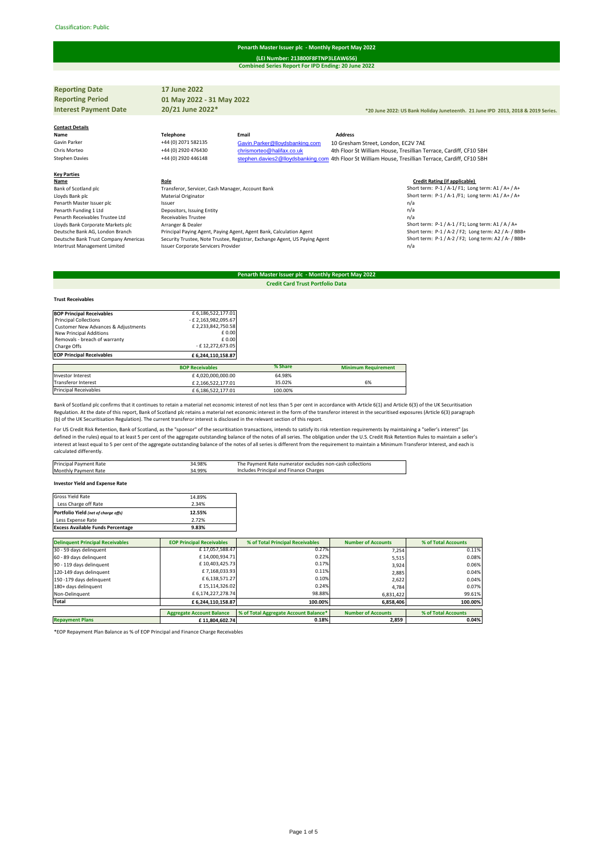#### Classification: Public#

## **Penarth Master Issuer plc - Monthly Report May 2022**

**Combined Series Report For IPD Ending: 20 June 2022 (LEI Number: 213800F8FTNP3LEAW656)**

| <b>Reporting Date</b>                | 17 June 2022                                     |                                                                            |                                                                                                     |
|--------------------------------------|--------------------------------------------------|----------------------------------------------------------------------------|-----------------------------------------------------------------------------------------------------|
| <b>Reporting Period</b>              | 01 May 2022 - 31 May 2022                        |                                                                            |                                                                                                     |
| <b>Interest Payment Date</b>         | 20/21 June 2022*                                 |                                                                            | *20 June 2022: US Bank Holiday Juneteenth. 21 June IPD 2013, 2018 & 2019 Series.                    |
|                                      |                                                  |                                                                            |                                                                                                     |
| <b>Contact Details</b>               |                                                  |                                                                            |                                                                                                     |
| Name                                 | <b>Telephone</b>                                 | Email                                                                      | <b>Address</b>                                                                                      |
| Gavin Parker                         | +44 (0) 2071 582135                              | Gavin.Parker@lloydsbanking.com                                             | 10 Gresham Street, London, EC2V 7AE                                                                 |
| Chris Morteo                         | +44 (0) 2920 476430                              | chrismorteo@halifax.co.uk                                                  | 4th Floor St William House, Tresillian Terrace, Cardiff, CF10 5BH                                   |
| <b>Stephen Davies</b>                | +44 (0) 2920 446148                              |                                                                            | stephen.davies2@lloydsbanking.com 4th Floor St William House, Tresillian Terrace, Cardiff, CF10 5BH |
|                                      |                                                  |                                                                            |                                                                                                     |
| <b>Key Parties</b>                   |                                                  |                                                                            |                                                                                                     |
| Name                                 | Role                                             |                                                                            | <b>Credit Rating (if applicable)</b>                                                                |
| Bank of Scotland plc                 | Transferor, Servicer, Cash Manager, Account Bank |                                                                            | Short term: P-1 / A-1/ F1; Long term: A1 / A+ / A+                                                  |
| Lloyds Bank plc                      | Material Originator                              |                                                                            | Short term: P-1 / A-1 /F1; Long term: A1 / A+ / A+                                                  |
| Penarth Master Issuer plc            | Issuer                                           |                                                                            | n/a                                                                                                 |
| Penarth Funding 1 Ltd                | Depositors, Issuing Entity                       |                                                                            | n/a                                                                                                 |
| Penarth Receivables Trustee Ltd      | <b>Receivables Trustee</b>                       |                                                                            | n/a                                                                                                 |
| Lloyds Bank Corporate Markets plc    | Arranger & Dealer                                |                                                                            | Short term: P-1 / A-1 / F1; Long term: A1 / A / A+                                                  |
| Deutsche Bank AG, London Branch      |                                                  | Principal Paying Agent, Paying Agent, Agent Bank, Calculation Agent        | Short term: P-1 / A-2 / F2; Long term: A2 / A- / BBB+                                               |
| Deutsche Bank Trust Company Americas |                                                  | Security Trustee, Note Trustee, Registrar, Exchange Agent, US Paying Agent | Short term: P-1 / A-2 / F2; Long term: A2 / A- / BBB+                                               |
| Intertrust Management Limited        | Issuer Corporate Servicers Provider              |                                                                            | n/a                                                                                                 |
|                                      |                                                  |                                                                            |                                                                                                     |

### **Penarth Master Issuer plc - Monthly Report May 2022 Credit Card Trust Portfolio Data**

# **BOP Principal Receivables**<br>  $2.522,177.01$ <br>  $2.523,842,955.67$ <br>
Customer New Advances & Adjustments<br>  $2.233,842,750.58$ <br>
New Principal Additions<br>  $2.233,842,750.58$ <br>  $2.233,842,750.58$ Removals - breach of warranty  $\begin{array}{c} \text{E 0.00} \\ \text{Change Offs} \end{array}$ Charge Offs - E 12,272,673.05<br>
Charge Offs - E 12,272,673.05<br>
EOP Principal Receivables - E 6,244,110,158.87 **EOP Principal Receivables BOP Receivables % Share Minimum Requirement** Investor Interest 64,020,000,000.00 64.98%<br>
Transferor Interest £ 4,020,000,000.00 64.98%<br>
£ 2.166.522.177.01 35.02% f 2,166,522,177.01 35.02% 6% Principal Receivables **E** 6,186,522,177.01 100.00%

Bank of Scotland plc confirms that it continues to retain a material net economic interest of not less than 5 per cent in accordance with Article 6(1) and Article 6(3) of the UK Securitisation Regulation. At the date of this report, Bank of Scotland plc retains a material net economic interest in the form of the transferor interest in the securitised exposures (Article 6(3) paragraph<br>(b) of the UK Securitisation

For US Credit Risk Retention, Bank of Scotland, as the "sponsor" of the securitisation transactions, intends to satisfy its risk retention requirements by maintaining a "seller's interest" (as<br>defined in the rules) equal t calculated differently.

| Principal Payment Rate           | 34.98% | The Payment Rate numerator excludes non-cash collections |
|----------------------------------|--------|----------------------------------------------------------|
| Monthly Payment Rate             | 34.99% | Includes Principal and Finance Charges                   |
|                                  |        |                                                          |
| torrested Weld and Frances Batel |        |                                                          |

**Investor Yield and Expense Rate**

**Trust Receivables**

| Gross Yield Rate                         | 14.89% |
|------------------------------------------|--------|
| Less Charge off Rate                     | 2.34%  |
| Portfolio Yield (net of charge offs)     | 12.55% |
| Less Expense Rate                        | 2.72%  |
| <b>Excess Available Funds Percentage</b> | 9.83%  |

| <b>Delinquent Principal Receivables</b> | <b>EOP Principal Receivables</b> | % of Total Principal Receivables      | <b>Number of Accounts</b> | % of Total Accounts |
|-----------------------------------------|----------------------------------|---------------------------------------|---------------------------|---------------------|
| 30 - 59 days delinquent                 | £17,057,588.47                   | 0.27%                                 | 7.254                     | 0.11%               |
| 60 - 89 days delinquent                 | £14,000,934.71                   | 0.22%                                 | 5,515                     | 0.08%               |
| 90 - 119 days delinquent                | £10,403,425.73                   | 0.17%                                 | 3,924                     | 0.06%               |
| 120-149 days delinquent                 | £7,168,033.93                    | 0.11%                                 | 2.885                     | 0.04%               |
| 150 -179 days delinquent                | £6,138,571.27                    | 0.10%                                 | 2.622                     | 0.04%               |
| 180+ days delinquent                    | £15,114,326.02                   | 0.24%                                 | 4.784                     | 0.07%               |
| Non-Delinquent                          | £6,174,227,278.74                | 98.88%                                | 6,831,422                 | 99.61%              |
| Total                                   | £ 6,244,110,158.87               | 100.00%                               | 6,858,406                 | 100.00%             |
|                                         |                                  |                                       |                           |                     |
|                                         | <b>Aggregate Account Balance</b> | % of Total Aggregate Account Balance* | <b>Number of Accounts</b> | % of Total Accounts |
| <b>Repayment Plans</b>                  | £11.804.602.74                   | 0.18%                                 | 2,859                     | 0.04%               |

\*EOP Repayment Plan Balance as % of EOP Principal and Finance Charge Receivables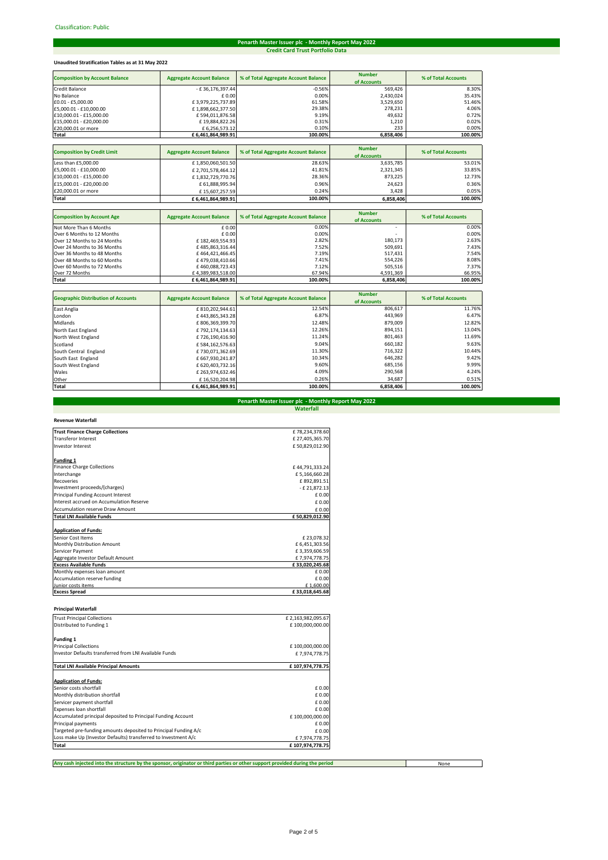# **Credit Card Trust Portfolio Data Penarth Master Issuer plc - Monthly Report May 2022**

# **Unaudited Stratification Tables as at 31 May 2022**

|                                       |                                  |                                      | <b>Number</b>                |                     |
|---------------------------------------|----------------------------------|--------------------------------------|------------------------------|---------------------|
| <b>Composition by Account Balance</b> | <b>Aggregate Account Balance</b> | % of Total Aggregate Account Balance | of Accounts                  | % of Total Accounts |
| <b>Credit Balance</b>                 | - £36,176,397.44                 | $-0.56%$                             | 569,426                      | 8.30%               |
| No Balance                            | £0.00                            | 0.00%                                | 2,430,024                    | 35.43%              |
| £0.01 - £5.000.00                     | £3,979,225,737.89                | 61.58%                               | 3,529,650                    | 51.46%              |
| £5,000.01 - £10,000.00                | £1,898,662,377.50                | 29.38%                               | 278,231                      | 4.06%               |
| £10,000.01 - £15,000.00               | £594,011,876.58                  | 9.19%                                | 49,632                       | 0.72%               |
| £15,000.01 - £20,000.00               | £19,884,822.26                   | 0.31%                                | 1.210                        | 0.02%               |
| £20,000.01 or more                    | £6,256,573.12                    | 0.10%                                | 233                          | 0.00%               |
| <b>Total</b>                          | £6,461,864,989.91                | 100.00%                              | 6,858,406                    | 100.00%             |
|                                       |                                  |                                      |                              |                     |
| <b>Composition by Credit Limit</b>    | <b>Aggregate Account Balance</b> | % of Total Aggregate Account Balance | <b>Number</b>                | % of Total Accounts |
|                                       |                                  |                                      | of Accounts                  |                     |
| Less than £5,000,00                   | £1,850,060,501.50                | 28.63%                               | 3,635,785                    | 53.01%              |
| £5,000.01 - £10,000.00                | £2,701,578,464.12                | 41.81%                               | 2,321,345                    | 33.85%              |
| £10,000,01 - £15,000,00               | £1,832,729,770.76                | 28.36%                               | 873,225                      | 12.73%              |
| £15,000.01 - £20,000.00               | £ 61,888,995.94                  | 0.96%                                | 24,623                       | 0.36%               |
| £20,000.01 or more                    | £15,607,257.59                   | 0.24%                                | 3,428                        | 0.05%               |
| <b>Total</b>                          | £6,461,864,989.91                | 100.00%                              | 6,858,406                    | 100.00%             |
|                                       |                                  |                                      |                              |                     |
| <b>Composition by Account Age</b>     | <b>Aggregate Account Balance</b> | % of Total Aggregate Account Balance | <b>Number</b><br>of Accounts | % of Total Accounts |
| Not More Than 6 Months                | £0.00                            | 0.00%                                | $\overline{\phantom{a}}$     | 0.00%               |
| Over 6 Months to 12 Months            | £0.00                            | 0.00%                                |                              | 0.00%               |
| Over 12 Months to 24 Months           | £182,469,554.93                  | 2.82%                                | 180,173                      | 2.63%               |
| Over 24 Months to 36 Months           | £485,863,316.44                  | 7.52%                                | 509,691                      | 7.43%               |
| Over 36 Months to 48 Months           | £464,421,466.45                  | 7.19%                                | 517,431                      | 7.54%               |
| Over 48 Months to 60 Months           | £479,038,410.66                  | 7.41%                                | 554,226                      | 8.08%               |
| Over 60 Months to 72 Months           | £460,088,723.43                  | 7.12%                                | 505,516                      | 7.37%               |
| Over 72 Months                        | £4,389,983,518.00                | 67.94%                               | 4,591,369                    | 66.95%              |
| Total                                 | £6,461,864,989.91                | 100.00%                              | 6,858,406                    | 100.00%             |

| <b>Geographic Distribution of Accounts</b> | <b>Aggregate Account Balance</b> | % of Total Aggregate Account Balance | <b>Number</b><br>of Accounts | % of Total Accounts |
|--------------------------------------------|----------------------------------|--------------------------------------|------------------------------|---------------------|
| East Anglia                                | £810,202,944.61                  | 12.54%                               | 806,617                      | 11.76%              |
| London                                     | £443,865,343.28                  | 6.87%                                | 443.969                      | 6.47%               |
| Midlands                                   | £806,369,399.70                  | 12.48%                               | 879,009                      | 12.82%              |
| North East England                         | £792,174,134.63                  | 12.26%                               | 894.151                      | 13.04%              |
| North West England                         | £726,190,416.90                  | 11.24%                               | 801,463                      | 11.69%              |
| Scotland                                   | £584,162,576.63                  | 9.04%                                | 660,182                      | 9.63%               |
| South Central England                      | £730,071,362.69                  | 11.30%                               | 716.322                      | 10.44%              |
| South East England                         | £ 667,930,241.87                 | 10.34%                               | 646,282                      | 9.42%               |
| South West England                         | £ 620,403,732.16                 | 9.60%                                | 685,156                      | 9.99%               |
| Wales                                      | £263,974,632.46                  | 4.09%                                | 290,568                      | 4.24%               |
| Other                                      | £16,520,204.98                   | 0.26%                                | 34,687                       | 0.51%               |
| Total                                      | £6,461,864,989.91                | 100.00%                              | 6,858,406                    | 100.00%             |

# **Penarth Master Issuer plc - Monthly Report May 2022 Waterfall**

# **Revenue Waterfall**

| <b>Trust Finance Charge Collections</b>  | £78,234,378.60 |
|------------------------------------------|----------------|
| <b>Transferor Interest</b>               | £27,405,365.70 |
| <b>Investor Interest</b>                 | £50,829,012.90 |
|                                          |                |
| Funding 1                                |                |
| <b>Finance Charge Collections</b>        | £44,791,333.24 |
| Interchange                              | £5,166,660.28  |
| Recoveries                               | £892,891.51    |
| Investment proceeds/(charges)            | - £ 21,872.13  |
| Principal Funding Account Interest       | £0.00          |
| Interest accrued on Accumulation Reserve | £0.00          |
| Accumulation reserve Draw Amount         | £0.00          |
| <b>Total LNI Available Funds</b>         | £50,829,012.90 |
|                                          |                |
| <b>Application of Funds:</b>             |                |
| Senior Cost Items                        | £23,078.32     |
| Monthly Distribution Amount              | £6,451,303.56  |
| Servicer Payment                         | £3,359,606.59  |
| Aggregate Investor Default Amount        | £7,974,778.75  |
| <b>Excess Available Funds</b>            | £33,020,245.68 |
| Monthly expenses loan amount             | £0.00          |
| Accumulation reserve funding             | £0.00          |
| Junior costs items                       | £1,600.00      |
| <b>Excess Spread</b>                     | £33,018,645.68 |
|                                          |                |

# **Principal Waterfall**

| <b>Trust Principal Collections</b>                              | £2,163,982,095.67 |
|-----------------------------------------------------------------|-------------------|
| Distributed to Funding 1                                        | £100.000.000.00   |
| <b>Funding 1</b>                                                |                   |
| <b>Principal Collections</b>                                    | £100,000,000.00   |
| Investor Defaults transferred from LNI Available Funds          | £7,974,778.75     |
| <b>Total LNI Available Principal Amounts</b>                    | £107,974,778.75   |
| <b>Application of Funds:</b>                                    |                   |
| Senior costs shortfall                                          | £0.00             |
| Monthly distribution shortfall                                  | £ 0.00            |
| Servicer payment shortfall                                      | £ 0.00            |
| Expenses loan shortfall                                         | £ 0.00            |
| Accumulated principal deposited to Principal Funding Account    | £100,000,000.00   |
| Principal payments                                              | £ 0.00            |
| Targeted pre-funding amounts deposited to Principal Funding A/c | £ 0.00            |
| Loss make Up (Investor Defaults) transferred to Investment A/c  | £7,974,778.75     |
| Total                                                           | £107.974.778.75   |

**Any cash injected into the structure by the sponsor, originator or third parties or other support provided during the period**

None

──

٦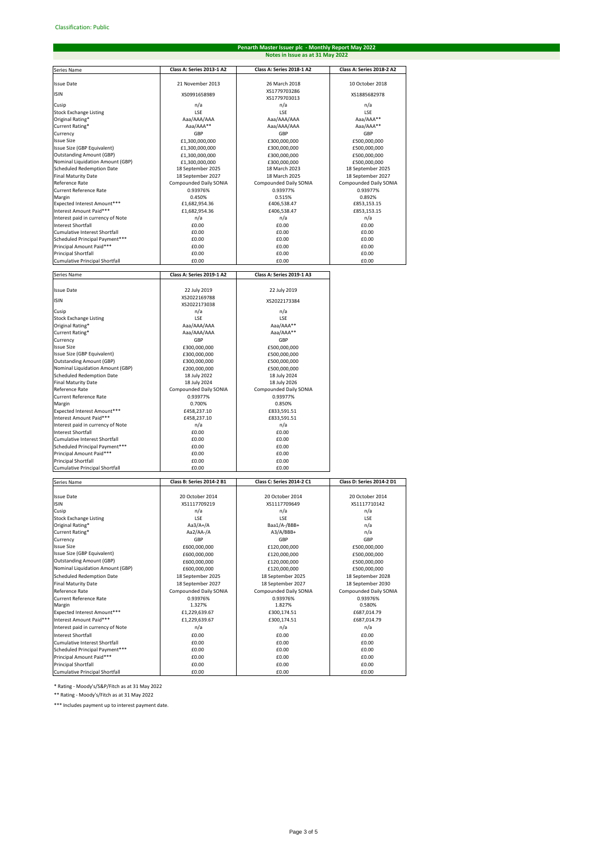# **Penarth Master Issuer plc - Monthly Report May 2022 Notes in Issue as at 31 May 2022**

| Series Name                                                    | Class A: Series 2013-1 A2              | Class A: Series 2018-1 A2              | Class A: Series 2018-2 A2    |
|----------------------------------------------------------------|----------------------------------------|----------------------------------------|------------------------------|
| <b>Issue Date</b>                                              | 21 November 2013                       | 26 March 2018                          | 10 October 2018              |
| <b>ISIN</b>                                                    | XS0991658989                           | XS1779703286                           | XS1885682978                 |
| Cusip                                                          | n/a                                    | XS1779703013<br>n/a                    | n/a                          |
| <b>Stock Exchange Listing</b>                                  | LSE                                    | LSE                                    | LSE                          |
| Original Rating*                                               | Aaa/AAA/AAA                            | Aaa/AAA/AAA                            | Aaa/AAA**                    |
| Current Rating*                                                | Aaa/AAA**                              | Aaa/AAA/AAA                            | Aaa/AAA**                    |
| Currency                                                       | GBP                                    | GBP                                    | GBP                          |
| <b>Issue Size</b>                                              | £1,300,000,000                         | £300,000,000                           | £500,000,000                 |
| Issue Size (GBP Equivalent)<br><b>Outstanding Amount (GBP)</b> | £1,300,000,000                         | £300,000,000<br>£300,000,000           | £500,000,000<br>£500,000,000 |
| Nominal Liquidation Amount (GBP)                               | £1,300,000,000<br>£1,300,000,000       | £300,000,000                           | £500,000,000                 |
| Scheduled Redemption Date                                      | 18 September 2025                      | 18 March 2023                          | 18 September 2025            |
| <b>Final Maturity Date</b>                                     | 18 September 2027                      | 18 March 2025                          | 18 September 2027            |
| Reference Rate                                                 | Compounded Daily SONIA                 | Compounded Daily SONIA                 | Compounded Daily SONIA       |
| <b>Current Reference Rate</b>                                  | 0.93976%                               | 0.93977%                               | 0.93977%                     |
| Margin<br>Expected Interest Amount***                          | 0.450%<br>£1,682,954.36                | 0.515%<br>£406,538.47                  | 0.892%<br>£853,153.15        |
| Interest Amount Paid***                                        | £1,682,954.36                          | £406,538.47                            | £853,153.15                  |
| Interest paid in currency of Note                              | n/a                                    | n/a                                    | n/a                          |
| <b>Interest Shortfall</b>                                      | £0.00                                  | £0.00                                  | £0.00                        |
| Cumulative Interest Shortfall                                  | £0.00                                  | £0.00                                  | £0.00                        |
| Scheduled Principal Payment***                                 | £0.00                                  | £0.00                                  | £0.00                        |
| Principal Amount Paid***<br>Principal Shortfall                | £0.00<br>£0.00                         | £0.00<br>£0.00                         | £0.00<br>£0.00               |
| <b>Cumulative Principal Shortfall</b>                          | £0.00                                  | £0.00                                  | £0.00                        |
|                                                                |                                        |                                        |                              |
| Series Name                                                    | Class A: Series 2019-1 A2              | Class A: Series 2019-1 A3              |                              |
| <b>Issue Date</b>                                              | 22 July 2019                           | 22 July 2019                           |                              |
| <b>ISIN</b>                                                    | XS2022169788<br>XS2022173038           | XS2022173384                           |                              |
| Cusip                                                          | n/a                                    | n/a                                    |                              |
| <b>Stock Exchange Listing</b>                                  | LSE                                    | LSE                                    |                              |
| Original Rating*                                               | Aaa/AAA/AAA                            | Aaa/AAA**                              |                              |
| Current Rating*                                                | Aaa/AAA/AAA                            | Aaa/AAA**                              |                              |
| Currency<br><b>Issue Size</b>                                  | GBP<br>£300,000,000                    | GBP<br>£500,000,000                    |                              |
| Issue Size (GBP Equivalent)                                    | £300,000,000                           | £500,000,000                           |                              |
| <b>Outstanding Amount (GBP)</b>                                | £300,000,000                           | £500,000,000                           |                              |
| Nominal Liquidation Amount (GBP)                               | £200,000,000                           | £500,000,000                           |                              |
| Scheduled Redemption Date                                      | 18 July 2022                           | 18 July 2024                           |                              |
| <b>Final Maturity Date</b><br>Reference Rate                   | 18 July 2024<br>Compounded Daily SONIA | 18 July 2026<br>Compounded Daily SONIA |                              |
| <b>Current Reference Rate</b>                                  | 0.93977%                               | 0.93977%                               |                              |
| Margin                                                         | 0.700%                                 | 0.850%                                 |                              |
| Expected Interest Amount***                                    | £458,237.10                            | £833,591.51                            |                              |
| Interest Amount Paid***                                        | £458,237.10                            | £833,591.51                            |                              |
| Interest paid in currency of Note                              | n/a                                    | n/a                                    |                              |
| Interest Shortfall<br>Cumulative Interest Shortfall            | £0.00<br>£0.00                         | £0.00<br>£0.00                         |                              |
| Scheduled Principal Payment***                                 | £0.00                                  | £0.00                                  |                              |
| Principal Amount Paid***                                       | £0.00                                  | £0.00                                  |                              |
| Principal Shortfall                                            | £0.00                                  | £0.00                                  |                              |
| <b>Cumulative Principal Shortfall</b>                          | £0.00                                  | £0.00                                  |                              |
| Series Name                                                    | Class B: Series 2014-2 B1              | Class C: Series 2014-2 C1              | Class D: Series 2014-2 D1    |
| <b>Issue Date</b>                                              | 20 October 2014                        | 20 October 2014                        | 20 October 2014              |
| <b>ISIN</b>                                                    | XS1117709219                           | XS1117709649                           | XS1117710142                 |
| Cusip                                                          | n/a                                    | n/a                                    | n/a                          |
| Stock Exchange Listing                                         | LSE                                    | LSE                                    | LSE                          |
| Original Rating*                                               | $Aa3/A+/A$                             | Baa1/A-/BBB+                           | n/a                          |
| Current Rating*                                                | $Aa2/AA$ -/A                           | $A3/A/BBB+$                            | n/a                          |
| Currency<br><b>Issue Size</b>                                  | GBP<br>£600,000,000                    | GBP<br>£120,000,000                    | GBP<br>£500,000,000          |
| Issue Size (GBP Equivalent)                                    | £600,000,000                           | £120,000,000                           | £500,000,000                 |
| <b>Outstanding Amount (GBP)</b>                                | £600,000,000                           | £120,000,000                           | £500,000,000                 |
| Nominal Liquidation Amount (GBP)                               | £600,000,000                           | £120,000,000                           | £500,000,000                 |
| <b>Scheduled Redemption Date</b>                               | 18 September 2025                      | 18 September 2025                      | 18 September 2028            |
| <b>Final Maturity Date</b>                                     | 18 September 2027                      | 18 September 2027                      | 18 September 2030            |
| Reference Rate<br><b>Current Reference Rate</b>                | Compounded Daily SONIA                 | Compounded Daily SONIA                 | Compounded Daily SONIA       |
| Margin                                                         | 0.93976%<br>1.327%                     | 0.93976%<br>1.827%                     | 0.93976%<br>0.580%           |
| Expected Interest Amount***                                    | £1,229,639.67                          | £300,174.51                            | £687,014.79                  |
| Interest Amount Paid***                                        | £1,229,639.67                          | £300,174.51                            | £687,014.79                  |
| Interest paid in currency of Note                              | n/a                                    | n/a                                    | n/a                          |
| <b>Interest Shortfall</b>                                      | £0.00                                  | £0.00                                  | £0.00                        |
| Cumulative Interest Shortfall                                  | £0.00                                  | £0.00                                  | £0.00                        |
| Scheduled Principal Payment***                                 | £0.00                                  | £0.00                                  | £0.00                        |
| Principal Amount Paid***<br><b>Principal Shortfall</b>         | £0.00<br>£0.00                         | £0.00<br>£0.00                         | £0.00<br>£0.00               |
| Cumulative Principal Shortfall                                 | £0.00                                  | £0.00                                  | £0.00                        |

\* Rating - Moody's/S&P/Fitch as at 31 May 2022

\*\* Rating - Moody's/Fitch as at 31 May 2022

\*\*\* Includes payment up to interest payment date.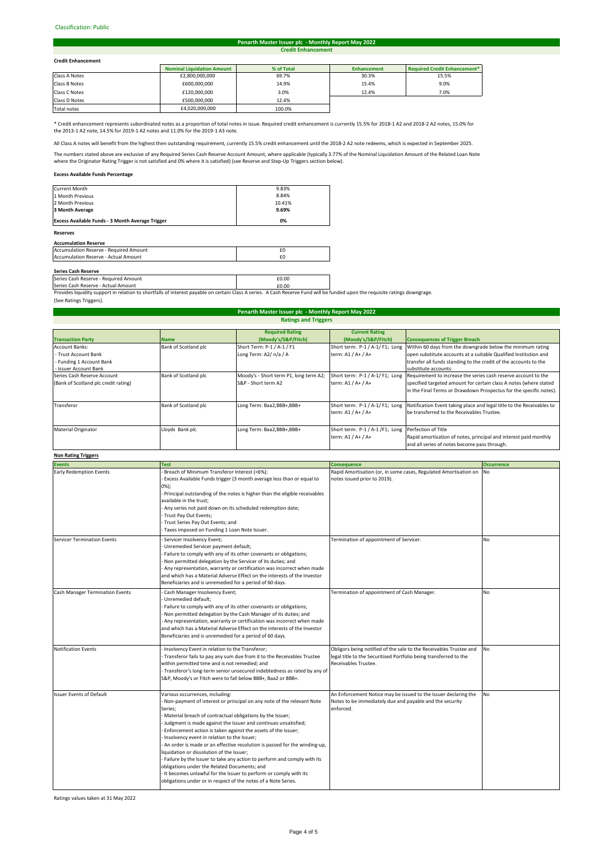#### Classification: Public#

#### **Credit Enhancement Penarth Master Issuer plc - Monthly Report May 2022**

### **Credit Enhancement**

| <b>Credit Enhancement</b> |                                   |            |                    |                              |  |
|---------------------------|-----------------------------------|------------|--------------------|------------------------------|--|
|                           | <b>Nominal Liquidation Amount</b> | % of Total | <b>Enhancement</b> | Required Credit Enhancement* |  |
| Class A Notes             | £2,800,000,000                    | 69.7%      | 30.3%              | 15.5%                        |  |
| Class B Notes             | £600,000,000                      | 14.9%      | 15.4%              | 9.0%                         |  |
| Class C Notes             | £120,000,000                      | 3.0%       | 12.4%              | 7.0%                         |  |
| Class D Notes             | £500,000,000                      | 12.4%      |                    |                              |  |
|                           |                                   |            |                    |                              |  |

Total notes **E4,020,000,000** 100.0% 

\* Credit enhancement represents subordinated notes as a proportion of total notes in issue. Required credit enhancement is currently 15.5% for 2018-1 A2 and 2018-2 A2 notes, 15.0% for the 2013-1 A2 note, 14.5% for 2019-1 A2 notes and 11.0% for the 2019-1 A3 note.

All Class A notes will benefit from the highest then outstanding requirement, currently 15.5% credit enhancement until the 2018-2 A2 note redeems, which is expected in September 2025.

The numbers stated above are exclusive of any Required Series Cash Reserve Account Amount, where applicable (typically 3.77% of the Nominal Liquidation Amount of the Related Loan Note<br>where the Originator Rating Trigger is

# **Excess Available Funds Percentage**

| <b>Reserves</b>                                  |        |
|--------------------------------------------------|--------|
| Excess Available Funds - 3 Month Average Trigger | 0%     |
| 3 Month Average                                  | 9.69%  |
| 2 Month Previous                                 | 10.41% |
| 1 Month Previous                                 | 8.84%  |
| <b>Current Month</b>                             | 9.83%  |

#### **Accumulation Reserve**

| Accumulation Reserve - Required Amount      |  |
|---------------------------------------------|--|
| <b>Accumulation Reserve - Actual Amount</b> |  |
|                                             |  |

**Series Cash Reserve**<br>Series Cash Reserve - Required Amount **£0.00 Example 2.000 Example 2.000** 

Series Cash Reserve - Actual Amount<br>Provides liquidity support in relation to shortfalls of interest payable on certain Class A series. A Cash Reserve Fund will be funded upon the requisite ratings downgrage. (See Ratings Triggers).

| <b>Penarth Master Issuer plc - Monthly Report May 2022</b><br><b>Ratings and Triggers</b> |                      |                                        |                                 |                                                                       |  |  |
|-------------------------------------------------------------------------------------------|----------------------|----------------------------------------|---------------------------------|-----------------------------------------------------------------------|--|--|
|                                                                                           |                      |                                        |                                 |                                                                       |  |  |
| <b>Transaction Party</b>                                                                  | <b>Name</b>          | (Moody's/S&P/Fitch)                    | (Moody's/S&P/Fitch)             | <b>Consequences of Trigger Breach</b>                                 |  |  |
| <b>Account Banks:</b>                                                                     | Bank of Scotland plc | Short Term: P-1 / A-1 / F1             | Short term: P-1 / A-1/ F1; Long | Within 60 days from the downgrade below the minimum rating            |  |  |
| - Trust Account Bank                                                                      |                      | Long Term: A2/ n/a / A                 | term: A1 / A+ / A+              | open substitute accounts at a suitable Qualified Institution and      |  |  |
| - Funding 1 Account Bank                                                                  |                      |                                        |                                 | transfer all funds standing to the credit of the accounts to the      |  |  |
| - Issuer Account Bank                                                                     |                      |                                        |                                 | substitute accounts.                                                  |  |  |
| Series Cash Reserve Account                                                               | Bank of Scotland plc | Moody's - Short term P1, long term A2; | Short term: P-1 / A-1/ F1; Long | Requirement to increase the series cash reserve account to the        |  |  |
| (Bank of Scotland plc credit rating)                                                      |                      | S&P - Short term A2                    | term: A1 / A+ / A+              | specified targeted amount for certain class A notes (where stated     |  |  |
|                                                                                           |                      |                                        |                                 | in the Final Terms or Drawdown Prospectus for the specific notes).    |  |  |
| Transferor                                                                                | Bank of Scotland plc | Long Term: Baa2,BBB+,BBB+              | Short term: P-1 / A-1/ F1; Long | Notification Event taking place and legal title to the Receivables to |  |  |
|                                                                                           |                      |                                        | term: A1 / A+ / A+              | be transferred to the Receivables Trustee.                            |  |  |
| <b>Material Originator</b>                                                                | Lloyds Bank plc      | Long Term: Baa2, BBB+, BBB+            | Short term: P-1 / A-1 /F1; Long | Perfection of Title                                                   |  |  |
|                                                                                           |                      |                                        | term: A1 / A+ / A+              | Rapid amortisation of notes, principal and interest paid monthly      |  |  |
|                                                                                           |                      |                                        |                                 | and all series of notes become pass through.                          |  |  |

# **Non Rating Triggers**

| <b>Events</b>                          | <b>Test</b>                                                                                                                                                                                                                                                                                                                                                                                                                                                                                                                                                                                                                                                                                                                                                   | <b>Consequence</b>                                                                                                                                              | <b>Occurrence</b> |
|----------------------------------------|---------------------------------------------------------------------------------------------------------------------------------------------------------------------------------------------------------------------------------------------------------------------------------------------------------------------------------------------------------------------------------------------------------------------------------------------------------------------------------------------------------------------------------------------------------------------------------------------------------------------------------------------------------------------------------------------------------------------------------------------------------------|-----------------------------------------------------------------------------------------------------------------------------------------------------------------|-------------------|
| <b>Early Redemption Events</b>         | Breach of Minimum Transferor Interest (<6%);<br>Excess Available Funds trigger (3 month average less than or equal to<br>0%);<br>Principal outstanding of the notes is higher than the eligible receivables<br>available in the trust:<br>Any series not paid down on its scheduled redemption date;<br>Trust Pay Out Events;<br>Trust Series Pay Out Events; and<br>Taxes imposed on Funding 1 Loan Note Issuer.                                                                                                                                                                                                                                                                                                                                             | Rapid Amortisation (or, in some cases, Regulated Amortisation on<br>notes issued prior to 2019).                                                                | <b>No</b>         |
| <b>Servicer Termination Events</b>     | Servicer Insolvency Event;<br>Unremedied Servicer payment default;<br>Failure to comply with any of its other covenants or obligations;<br>Non permitted delegation by the Servicer of its duties; and<br>Any representation, warranty or certification was incorrect when made<br>and which has a Material Adverse Effect on the interests of the Investor<br>Beneficiaries and is unremedied for a period of 60 days.                                                                                                                                                                                                                                                                                                                                       | Termination of appointment of Servicer.                                                                                                                         | <b>No</b>         |
| <b>Cash Manager Termination Events</b> | Cash Manager Insolvency Event;<br>Unremedied default;<br>Failure to comply with any of its other covenants or obligations;<br>Non permitted delegation by the Cash Manager of its duties; and<br>Any representation, warranty or certification was incorrect when made<br>and which has a Material Adverse Effect on the interests of the Investor<br>Beneficiaries and is unremedied for a period of 60 days.                                                                                                                                                                                                                                                                                                                                                | Termination of appointment of Cash Manager.                                                                                                                     | <b>No</b>         |
| <b>Notification Events</b>             | Insolvency Event in relation to the Transferor;<br>Transferor fails to pay any sum due from it to the Receivables Trustee<br>within permitted time and is not remedied; and<br>Transferor's long-term senior unsecured indebtedness as rated by any of<br>S&P, Moody's or Fitch were to fall below BBB+, Baa2 or BBB+.                                                                                                                                                                                                                                                                                                                                                                                                                                        | Obligors being notified of the sale to the Receivables Trustee and<br>legal title to the Securitised Portfolio being transferred to the<br>Receivables Trustee. | No                |
| <b>Issuer Events of Default</b>        | Various occurrences, including:<br>Non-payment of interest or principal on any note of the relevant Note<br>Series;<br>Material breach of contractual obligations by the Issuer;<br>Judgment is made against the Issuer and continues unsatisfied;<br>Enforcement action is taken against the assets of the Issuer;<br>Insolvency event in relation to the Issuer;<br>An order is made or an effective resolution is passed for the winding-up,<br>liquidation or dissolution of the Issuer;<br>Failure by the Issuer to take any action to perform and comply with its<br>obligations under the Related Documents; and<br>It becomes unlawful for the Issuer to perform or comply with its<br>obligations under or in respect of the notes of a Note Series. | An Enforcement Notice may be issued to the Issuer declaring the<br>Notes to be immediately due and payable and the security<br>enforced.                        | <b>No</b>         |

Ratings values taken at 31 May 2022